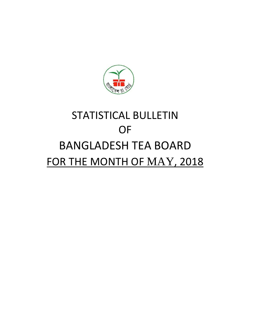

# STATISTICAL BULLETIN OF BANGLADESH TEA BOARD FOR THE MONTH OF MAY, 2018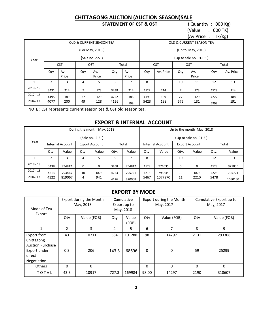#### **CHITTAGONG AUCTION (AUCTION SEASON)SALE**

#### **STATEMENT OF CST & OST** ( Quantity : 000 Kg)

 (Value : 000 TK) (Av.Price : Tk/Kg)

|              | <u>. or</u> |              |     |                                     |      |              |      |                   |     |                          |                                    |           |  |  |
|--------------|-------------|--------------|-----|-------------------------------------|------|--------------|------|-------------------|-----|--------------------------|------------------------------------|-----------|--|--|
|              |             |              |     | <b>OLD &amp; CURRENT SEASON TEA</b> |      |              |      |                   |     | OLD & CURRENT SEASON TEA |                                    |           |  |  |
|              |             |              |     | (For May, 2018)                     |      |              |      | (Up to May, 2018) |     |                          |                                    |           |  |  |
| Year         |             |              |     | (Sale no. 2-5)                      |      |              |      |                   |     | (Up to sale no. 01-05)   | Total<br>Qty<br>12<br>4529<br>4222 |           |  |  |
|              |             | <b>CST</b>   |     | OST                                 |      | Total        |      | <b>CST</b>        |     | OST                      |                                    |           |  |  |
|              | Qty         | Av.<br>Price | Qty | Av.<br>Price                        | Qty  | Av.<br>Price | Qty  | Av. Price         | Qty | Av.<br>Price             |                                    | Av. Price |  |  |
| $\mathbf{1}$ | 2           | 3            | 4   | 5.                                  | 6    | 7            | 8    | 9                 | 10  | 11                       |                                    | 13        |  |  |
| $2018 - 19$  | 3431        | 214          | 7   | 173                                 | 3438 | 214          | 4522 | 214               | 7   | 173                      |                                    | 214       |  |  |
| $2017 - 18$  | 4195        | 189          | 27  | 129                                 | 4222 | 188          | 4195 | 189               | 27  | 129                      |                                    | 188       |  |  |
| 2016-17      | 4077        | 200          | 49  | 128                                 | 4126 | 199          | 5423 | 198               | 575 | 131                      | 5998                               | 191       |  |  |

NOTE : CST represents current season tea & OST old season tea.

#### **EXPORT & INTERNAL ACCOUNT**

|             |      |                  |      | During the month May, 2018 |      |        |                          |                  |             | Up to the month May, 2018 |      |         |
|-------------|------|------------------|------|----------------------------|------|--------|--------------------------|------------------|-------------|---------------------------|------|---------|
|             |      |                  |      | (Sale no. 2-5)             |      |        | (Up to sale no. $01-5$ ) |                  |             |                           |      |         |
| Year        |      | Internal Account |      | <b>Export Account</b>      |      | Total  |                          | Internal Account |             | <b>Export Account</b>     |      | Total   |
|             | Qty. | Value            | Qty. | Value                      | Qty. | Value  | Qty.                     | Value            | Qty.        | Value                     | Qty. | Value   |
|             | 2    | 3                | 4    | 5                          | 6    |        | 8                        | 9                | 10          | 11                        | 12   | 13      |
| $2018 - 19$ | 3438 | 734812           | 0    | 0                          | 3438 | 734812 | 4529                     | 971035           | $\mathbf 0$ | 0                         | 4529 | 971035  |
| $2017 - 18$ | 4213 | 793845           | 10   | 1876                       | 4223 | 795721 | 4213                     | 793845           | 10          | 1876                      | 4223 | 795721  |
| 2016-17     | 4122 | 819067           | 4    | 941                        | 4126 | 820008 | 5467                     | 1077970          | 11          | 2210                      | 5478 | 1080180 |

#### **EXPORT BY MODE**

| Mode of Tea<br>Export                                |          | Export during the Month<br>May, 2018 |       | Cumulative<br>Export up to<br>May, 2018 |          | Export during the Month<br>May, 2017 | Cumulative Export up to<br>May, 2017 |             |  |
|------------------------------------------------------|----------|--------------------------------------|-------|-----------------------------------------|----------|--------------------------------------|--------------------------------------|-------------|--|
|                                                      | Qty      | Value (FOB)                          | Qty   | Value<br>(FOB)                          | Qty      | Value (FOB)                          | Qty                                  | Value (FOB) |  |
|                                                      | 2        | 3                                    | 4     | 5                                       | 6        | 7                                    | 8                                    | 9           |  |
| Export from<br>Chittagong<br><b>Auction Purchase</b> | 43       | 10711                                | 584   | 101288                                  | 98       | 14297                                | 2131                                 | 293308      |  |
| Export under<br>direct<br>Negotiation                | 0.3      | 206                                  | 143.3 | 68696                                   | $\Omega$ | 0                                    | 59                                   | 25299       |  |
| <b>Others</b>                                        | $\Omega$ | $\Omega$                             |       |                                         | $\Omega$ | 0                                    | $\Omega$                             | 0           |  |
| TOTAL                                                | 43.3     | 10917                                | 727.3 | 169984                                  | 98.00    | 14297                                | 2190                                 | 318607      |  |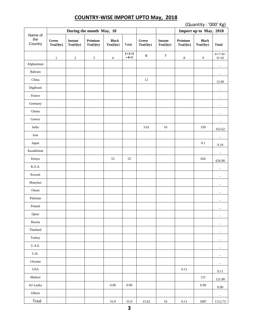# **COUNTRY-WISE IMPORT UPTO May, 2018**

|                          | (Quantity: '000' Kg) |                     |                          |                          |                   |                   |                     |                     |                          |                          |
|--------------------------|----------------------|---------------------|--------------------------|--------------------------|-------------------|-------------------|---------------------|---------------------|--------------------------|--------------------------|
| Name of                  |                      |                     | During the month May, 18 |                          |                   |                   |                     |                     | Import up to May, 2018   |                          |
| the<br>Country           | Green<br>Tea(Qty)    | Instant<br>Tea(Qty) | Primium<br>Tea(Qty)      | <b>Black</b><br>Tea(Qty) | Total             | Green<br>Tea(Qty) | Instant<br>Tea(Qty) | Primium<br>Tea(Qty) | <b>Black</b><br>Tea(Qty) | <b>Total</b>             |
|                          | $\mathbf{1}$         | $\sqrt{2}$          | $\sqrt{3}$               | $\overline{4}$           | $1+2+3$<br>$+4=5$ | 6                 | $\boldsymbol{7}$    | $\,8\,$             | 9                        | $6 + 7 + 8 +$<br>$9=10$  |
| Afghanistan              |                      |                     |                          |                          |                   |                   |                     |                     |                          | $\overline{\phantom{a}}$ |
| Bahrain                  |                      |                     |                          |                          |                   |                   |                     |                     |                          | $\overline{\phantom{a}}$ |
| China                    |                      |                     |                          |                          |                   | 12                |                     |                     |                          | 12.00                    |
| Digibouti                |                      |                     |                          |                          |                   |                   |                     |                     |                          | $\overline{\phantom{a}}$ |
| France                   |                      |                     |                          |                          |                   |                   |                     |                     |                          | $\overline{\phantom{a}}$ |
| Germany                  |                      |                     |                          |                          |                   |                   |                     |                     |                          | $\overline{\phantom{a}}$ |
| Ghana                    |                      |                     |                          |                          |                   |                   |                     |                     |                          | $\overline{\phantom{a}}$ |
| Greece                   |                      |                     |                          |                          |                   |                   |                     |                     |                          | $\overline{\phantom{a}}$ |
| India                    |                      |                     |                          |                          |                   | 3.62              | $10\,$              |                     | 339                      | 352.62                   |
| Iran                     |                      |                     |                          |                          |                   |                   |                     |                     |                          | $\sim$                   |
| Japan                    |                      |                     |                          |                          |                   |                   |                     |                     | $0.1\,$                  | 0.10                     |
| Kazakhstan               |                      |                     |                          |                          |                   |                   |                     |                     |                          | $\overline{\phantom{a}}$ |
| Kenya                    |                      |                     |                          | 55                       | 55                |                   |                     |                     | 626                      | 626.00                   |
| K.S.A.                   |                      |                     |                          |                          |                   |                   |                     |                     |                          | $\overline{\phantom{a}}$ |
| Kuwait                   |                      |                     |                          |                          |                   |                   |                     |                     |                          | $\overline{\phantom{a}}$ |
| Mauritus                 |                      |                     |                          |                          |                   |                   |                     |                     |                          | $\sim$                   |
| Oman                     |                      |                     |                          |                          |                   |                   |                     |                     |                          |                          |
| Pakistan                 |                      |                     |                          |                          |                   |                   |                     |                     |                          | $\overline{\phantom{a}}$ |
| Poland                   |                      |                     |                          |                          |                   |                   |                     |                     |                          | $\overline{\phantom{a}}$ |
| Qatar                    |                      |                     |                          |                          |                   |                   |                     |                     |                          | $\overline{\phantom{a}}$ |
| Russia                   |                      |                     |                          |                          |                   |                   |                     |                     |                          | $\overline{\phantom{a}}$ |
| Thailand                 |                      |                     |                          |                          |                   |                   |                     |                     |                          | $\overline{\phantom{a}}$ |
| Turkey                   |                      |                     |                          |                          |                   |                   |                     |                     |                          | $\overline{\phantom{a}}$ |
| $U.A.E.$                 |                      |                     |                          |                          |                   |                   |                     |                     |                          | $\overline{\phantom{a}}$ |
| $\mathbf{U}.\mathbf{K}.$ |                      |                     |                          |                          |                   |                   |                     |                     |                          | $\blacksquare$           |
| Ukraine                  |                      |                     |                          |                          |                   |                   |                     |                     |                          | $\overline{\phantom{a}}$ |
| $_{\mathrm{USA}}$        |                      |                     |                          |                          |                   |                   |                     | $0.11\,$            |                          | $0.11\,$                 |
| Malawi                   |                      |                     |                          |                          |                   |                   |                     |                     | 121                      | 121.00                   |
| Sri Lanka                |                      |                     |                          | $0.90\,$                 | $0.90\,$          |                   |                     |                     | $0.90\,$                 | $0.90\,$                 |
| Others                   |                      |                     |                          |                          |                   |                   |                     |                     |                          | $\overline{\phantom{a}}$ |
| Total                    |                      |                     |                          | 55.9                     | 55.9              | 15.62             | $10\,$              | $0.11\,$            | 1087                     | 1112.73                  |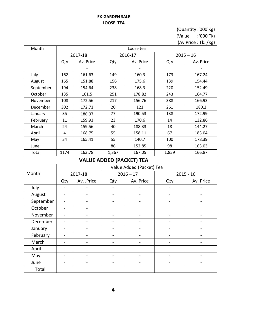#### **EX-GARDEN SALE LOOSE TEA**

#### (Quantity :'000'Kg) (Value : '000'Tk)

(Av.Price : Tk. /Kg)

| Month     |      |           |       | Loose tea |       |             |  |  |  |  |
|-----------|------|-----------|-------|-----------|-------|-------------|--|--|--|--|
|           |      | 2017-18   |       | 2016-17   |       | $2015 - 16$ |  |  |  |  |
|           | Qty  | Av. Price | Qty   | Av. Price | Qty   | Av. Price   |  |  |  |  |
|           |      |           |       |           |       |             |  |  |  |  |
| July      | 162  | 161.63    | 149   | 160.3     | 173   | 167.24      |  |  |  |  |
| August    | 165  | 151.88    | 156   | 175.6     | 139   | 154.44      |  |  |  |  |
| September | 194  | 154.64    | 238   | 168.3     | 220   | 152.49      |  |  |  |  |
| October   | 135  | 161.5     | 251   | 178.82    | 243   | 164.77      |  |  |  |  |
| November  | 108  | 172.56    | 217   | 156.76    | 388   | 166.93      |  |  |  |  |
| December  | 302  | 172.71    | 20    | 121       | 261   | 180.2       |  |  |  |  |
| January   | 35   | 186.97    | 77    | 190.53    | 138   | 172.99      |  |  |  |  |
| February  | 11   | 159.93    | 23    | 170.6     | 14    | 132.86      |  |  |  |  |
| March     | 24   | 159.56    | 40    | 188.33    | 18    | 144.27      |  |  |  |  |
| April     | 4    | 168.75    | 55    | 158.11    | 67    | 183.04      |  |  |  |  |
| May       | 34   | 165.41    | 55    | 140.7     | 100   | 178.39      |  |  |  |  |
| June      |      |           | 86    | 152.85    | 98    | 163.03      |  |  |  |  |
| Total     | 1174 | 163.78    | 1,367 | 167.05    | 1,859 | 166.87      |  |  |  |  |

# **VALUE ADDED (PACKET) TEA**

|           |     |                              |                              | Value Added (Packet) Tea |                              |                          |
|-----------|-----|------------------------------|------------------------------|--------------------------|------------------------------|--------------------------|
| Month     |     | 2017-18                      |                              | $2016 - 17$              |                              | $2015 - 16$              |
|           | Qty | Av. .Price                   | Qty                          | Av. Price                | Qty                          | Av. Price                |
| July      |     | -                            | $\overline{\phantom{0}}$     |                          | $\overline{\phantom{0}}$     |                          |
| August    |     | $\qquad \qquad \blacksquare$ | $\overline{\phantom{0}}$     |                          | -                            |                          |
| September |     | $\qquad \qquad \blacksquare$ | $\qquad \qquad \blacksquare$ |                          | -                            | -                        |
| October   |     | -                            |                              |                          |                              |                          |
| November  |     |                              |                              |                          |                              |                          |
| December  |     | -                            | $\overline{\phantom{0}}$     |                          |                              |                          |
| January   |     | $\overline{\phantom{a}}$     | $\overline{\phantom{0}}$     | $\overline{\phantom{a}}$ | $\overline{\phantom{a}}$     | $\overline{\phantom{0}}$ |
| February  |     |                              |                              |                          |                              |                          |
| March     |     | -                            | $\overline{\phantom{0}}$     |                          | $\overline{\phantom{a}}$     | -                        |
| April     |     | $\overline{\phantom{a}}$     |                              |                          |                              |                          |
| May       |     |                              | $\overline{\phantom{0}}$     |                          |                              |                          |
| June      |     | -                            | $\overline{\phantom{0}}$     |                          | $\qquad \qquad \blacksquare$ | -                        |
| Total     |     |                              |                              |                          |                              |                          |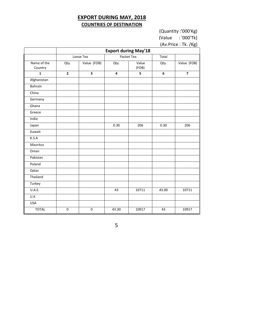# **EXPORT DURING MAY, 2018 COUNTRIES OF DESTINATION**

(Quantity :'000'Kg)

(Value : '000'Tk)

(Av.Price : Tk. /Kg)

|                        |                |                         |       | <b>Export during May'18</b> |       |                         |
|------------------------|----------------|-------------------------|-------|-----------------------------|-------|-------------------------|
|                        |                | Loose Tea               |       | Packet Tea                  | Total |                         |
| Name of the<br>Country | Qty.           | Value (FOB)             | Qty.  | Value<br>(FOB)              | Qty.  | Value (FOB)             |
| $\mathbf{1}$           | $\overline{2}$ | $\overline{\mathbf{3}}$ | 4     | 5                           | 6     | $\overline{\mathbf{z}}$ |
| Afghanistan            |                |                         |       |                             |       |                         |
| Bahrain                |                |                         |       |                             |       |                         |
| China                  |                |                         |       |                             |       |                         |
| Germany                |                |                         |       |                             |       |                         |
| Ghana                  |                |                         |       |                             |       |                         |
| Greece                 |                |                         |       |                             |       |                         |
| India                  |                |                         |       |                             |       |                         |
| Japan                  |                |                         | 0.30  | 206                         | 0.30  | 206                     |
| Kuwait                 |                |                         |       |                             |       |                         |
| K.S.A                  |                |                         |       |                             |       |                         |
| Mauritus               |                |                         |       |                             |       |                         |
| Oman                   |                |                         |       |                             |       |                         |
| Pakistan               |                |                         |       |                             |       |                         |
| Poland                 |                |                         |       |                             |       |                         |
| Qatar                  |                |                         |       |                             |       |                         |
| Thailand               |                |                         |       |                             |       |                         |
| Turkey                 |                |                         |       |                             |       |                         |
| U.A.E.                 |                |                         | 43    | 10711                       | 43.00 | 10711                   |
| U.K                    |                |                         |       |                             |       |                         |
| <b>USA</b>             |                |                         |       |                             |       |                         |
| <b>TOTAL</b>           | $\overline{0}$ | $\pmb{0}$               | 43.30 | 10917                       | 43    | 10917                   |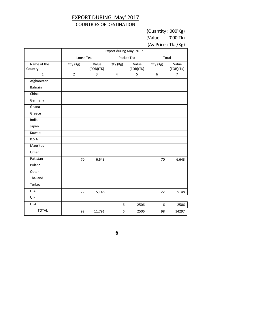# EXPORT DURING May' 2017 COUNTRIES OF DESTINATION

(Quantity :'000'Kg) (Value : '000'Tk)

(Av.Price : Tk. /Kg)

| Packet Tea<br>Total<br>Loose Tea<br>Value<br>Name of the<br>Qty.(Kg)<br>Value<br>Qty.(Kg)<br>Qty.(Kg)<br>(FOB)(TK)<br>(FOB)(TK)<br>Country<br>$\overline{2}$<br>$\mathbf{1}$<br>3<br>5<br>6<br>$\overline{\mathbf{4}}$<br>Afghanistan<br>Bahrain<br>China<br>Germany<br>Ghana | Value<br>(FOB)(TK)<br>$\overline{7}$ |
|-------------------------------------------------------------------------------------------------------------------------------------------------------------------------------------------------------------------------------------------------------------------------------|--------------------------------------|
|                                                                                                                                                                                                                                                                               |                                      |
|                                                                                                                                                                                                                                                                               |                                      |
|                                                                                                                                                                                                                                                                               |                                      |
|                                                                                                                                                                                                                                                                               |                                      |
|                                                                                                                                                                                                                                                                               |                                      |
|                                                                                                                                                                                                                                                                               |                                      |
|                                                                                                                                                                                                                                                                               |                                      |
|                                                                                                                                                                                                                                                                               |                                      |
| Greece                                                                                                                                                                                                                                                                        |                                      |
| India                                                                                                                                                                                                                                                                         |                                      |
| Japan                                                                                                                                                                                                                                                                         |                                      |
| Kuwait                                                                                                                                                                                                                                                                        |                                      |
| K.S.A                                                                                                                                                                                                                                                                         |                                      |
| Mauritus                                                                                                                                                                                                                                                                      |                                      |
| Oman                                                                                                                                                                                                                                                                          |                                      |
| Pakistan<br>70<br>6,643<br>70                                                                                                                                                                                                                                                 | 6,643                                |
| Poland                                                                                                                                                                                                                                                                        |                                      |
| Qatar                                                                                                                                                                                                                                                                         |                                      |
| Thailand                                                                                                                                                                                                                                                                      |                                      |
| Turkey                                                                                                                                                                                                                                                                        |                                      |
| U.A.E.<br>22<br>5,148<br>22                                                                                                                                                                                                                                                   | 5148                                 |
| U.K                                                                                                                                                                                                                                                                           |                                      |
| <b>USA</b><br>2506<br>6<br>6                                                                                                                                                                                                                                                  | 2506                                 |
| <b>TOTAL</b><br>92<br>11,791<br>6<br>2506<br>98                                                                                                                                                                                                                               |                                      |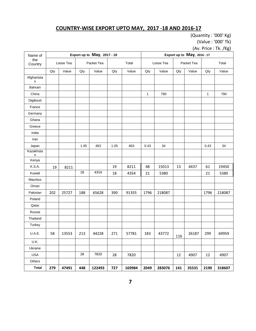# **COUNTRY-WISE EXPORT UPTO MAY, 2017 -18 AND 2016-17**

(Quantity : '000' Kg) (Value : '000' Tk)

(Av. Price : Tk. /Kg)

| Name of         |     |           |      | Export up to May, 2017 - 18 |      |        |              |           |     | Export up to May, 2016 - 17 |              |        |
|-----------------|-----|-----------|------|-----------------------------|------|--------|--------------|-----------|-----|-----------------------------|--------------|--------|
| the<br>Country  |     | Loose Tea |      | Packet Tea                  |      | Total  |              | Loose Tea |     | Packet Tea                  |              | Total  |
|                 | Qty | Value     | Qty  | Value                       | Qty  | Value  | Qty          | Value     | Qty | Value                       | Qty          | Value  |
| Afghanista<br>n |     |           |      |                             |      |        |              |           |     |                             |              |        |
| Bahrain         |     |           |      |                             |      |        |              |           |     |                             |              |        |
| China           |     |           |      |                             |      |        | $\mathbf{1}$ | 790       |     |                             | $\mathbf{1}$ | 790    |
| Digibouti       |     |           |      |                             |      |        |              |           |     |                             |              |        |
| France          |     |           |      |                             |      |        |              |           |     |                             |              |        |
| Germany         |     |           |      |                             |      |        |              |           |     |                             |              |        |
| Ghana           |     |           |      |                             |      |        |              |           |     |                             |              |        |
| Greece          |     |           |      |                             |      |        |              |           |     |                             |              |        |
| India           |     |           |      |                             |      |        |              |           |     |                             |              |        |
| Iran            |     |           |      |                             |      |        |              |           |     |                             |              |        |
| Japan           |     |           | 1.05 | 463                         | 1.05 | 463    | 0.43         | 34        |     |                             | 0.43         | 34     |
| Kazakhsta<br>n  |     |           |      |                             |      |        |              |           |     |                             |              |        |
| Kenya           |     |           |      |                             |      |        |              |           |     |                             |              |        |
| K.S.A.          | 19  | 8211      |      |                             | 19   | 8211   | 48           | 15013     | 13  | 4437                        | 61           | 19450  |
| Kuwait          |     |           | 18   | 4354                        | 18   | 4354   | 21           | 5380      |     |                             | 21           | 5380   |
| Mauritus        |     |           |      |                             |      |        |              |           |     |                             |              |        |
| Oman            |     |           |      |                             |      |        |              |           |     |                             |              |        |
| Pakistan        | 202 | 25727     | 188  | 65628                       | 390  | 91355  | 1796         | 218087    |     |                             | 1796         | 218087 |
| Poland          |     |           |      |                             |      |        |              |           |     |                             |              |        |
| Qatar           |     |           |      |                             |      |        |              |           |     |                             |              |        |
| Russia          |     |           |      |                             |      |        |              |           |     |                             |              |        |
| Thailand        |     |           |      |                             |      |        |              |           |     |                             |              |        |
| Turkey          |     |           |      |                             |      |        |              |           |     |                             |              |        |
| U.A.E.          | 58  | 13553     | 213  | 44228                       | 271  | 57781  | 183          | 43772     | 116 | 26187                       | 299          | 69959  |
| U.K.            |     |           |      |                             |      |        |              |           |     |                             |              |        |
| Ukraine         |     |           |      |                             |      |        |              |           |     |                             |              |        |
| <b>USA</b>      |     |           | 28   | 7820                        | 28   | 7820   |              |           | 12  | 4907                        | 12           | 4907   |
| Others          |     |           |      |                             |      |        |              |           |     |                             |              |        |
| <b>Total</b>    | 279 | 47491     | 448  | 122493                      | 727  | 169984 | 2049         | 283076    | 141 | 35531                       | 2190         | 318607 |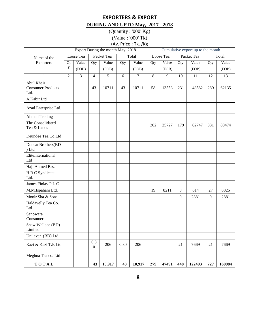# **EXPORTERS & EXPORT DURING AND UPTO May, 2017 - 2018**

(Quantity : '000' Kg) (Value : '000' Tk) (Av. Price : Tk. /Kg

|                                                | Export During the month May , 2018<br>Cumulative export up to the month |                |                         |            |      |                |     |           |         |            |     |        |
|------------------------------------------------|-------------------------------------------------------------------------|----------------|-------------------------|------------|------|----------------|-----|-----------|---------|------------|-----|--------|
| Name of the                                    |                                                                         | Loose Tea      |                         | Packet Tea |      | Total          |     | Loose Tea |         | Packet Tea |     | Total  |
| Exporters                                      | Qt                                                                      | Value          | Qty                     | Value      | Qty  | Value          | Qty | Value     | Qty     | Value      | Qty | Value  |
|                                                | y                                                                       | (FOB)          |                         | (FOB)      |      | (FOB)          |     | (FOB)     |         | (FOB)      |     | (FOB)  |
| $\mathbf{1}$                                   | $\overline{2}$                                                          | $\overline{3}$ | $\overline{4}$          | 5          | 6    | $\overline{7}$ | 8   | 9         | 10      | 11         | 12  | 13     |
| Abul Khair<br><b>Consumer Products</b><br>Ltd. |                                                                         |                | 43                      | 10711      | 43   | 10711          | 58  | 13553     | 231     | 48582      | 289 | 62135  |
| A.Kabir Ltd                                    |                                                                         |                |                         |            |      |                |     |           |         |            |     |        |
| Azad Enterprise Ltd.                           |                                                                         |                |                         |            |      |                |     |           |         |            |     |        |
| <b>Ahmad Trading</b>                           |                                                                         |                |                         |            |      |                |     |           |         |            |     |        |
| The Consolidated<br>Tea & Lands                |                                                                         |                |                         |            |      |                | 202 | 25727     | 179     | 62747      | 381 | 88474  |
| Deundee Tea Co.Ltd                             |                                                                         |                |                         |            |      |                |     |           |         |            |     |        |
| DuncanBrothers(BD<br>) Ltd                     |                                                                         |                |                         |            |      |                |     |           |         |            |     |        |
| EliteInternational<br>Ltd                      |                                                                         |                |                         |            |      |                |     |           |         |            |     |        |
| Haji Ahmed Brs.                                |                                                                         |                |                         |            |      |                |     |           |         |            |     |        |
| H.R.C.Syndicate<br>Ltd.                        |                                                                         |                |                         |            |      |                |     |           |         |            |     |        |
| James Finlay P.L.C.                            |                                                                         |                |                         |            |      |                |     |           |         |            |     |        |
| M.M.Ispahani Ltd.                              |                                                                         |                |                         |            |      |                | 19  | 8211      | $\,8\,$ | 614        | 27  | 8825   |
| Monir Sha & Sons                               |                                                                         |                |                         |            |      |                |     |           | 9       | 2881       | 9   | 2881   |
| Haldavelly Tea Co.<br>Ltd                      |                                                                         |                |                         |            |      |                |     |           |         |            |     |        |
| Sanowara<br>Consumer.                          |                                                                         |                |                         |            |      |                |     |           |         |            |     |        |
| Shaw Wallace (BD)<br>Limited                   |                                                                         |                |                         |            |      |                |     |           |         |            |     |        |
| Unilever (BD) Ltd.                             |                                                                         |                |                         |            |      |                |     |           |         |            |     |        |
| Kazi & Kazi T.E Ltd                            |                                                                         |                | 0.3<br>$\boldsymbol{0}$ | 206        | 0.30 | 206            |     |           | 21      | 7669       | 21  | 7669   |
| Meghna Tea co. Ltd                             |                                                                         |                |                         |            |      |                |     |           |         |            |     |        |
| TOTAL                                          |                                                                         |                | 43                      | 10,917     | 43   | 10,917         | 279 | 47491     | 448     | 122493     | 727 | 169984 |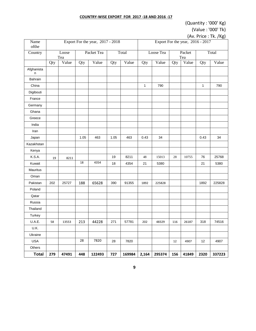#### **COUNTRY-WISE EXPORT FOR 2017 -18 AND 2016 -17**

# (Quantity : '000' Kg)

(Value : '000' Tk)

| $ VU UU$ , $UUU$ , $ V $ |  |
|--------------------------|--|
| (Av. Price: Tk. /Kg)     |  |

| Name<br>ofthe   |     |              |      | Export For the year, 2017 - 2018 |      |        | Export For the year, 2016 - 2017 |           |     |               |              |        |
|-----------------|-----|--------------|------|----------------------------------|------|--------|----------------------------------|-----------|-----|---------------|--------------|--------|
| Country         |     | Loose<br>Tea |      | Packet Tea                       |      | Total  |                                  | Loose Tea |     | Packet<br>Tea |              | Total  |
|                 | Qty | Value        | Qty  | Value                            | Qty  | Value  | Qty                              | Value     | Qty | Value         | Qty          | Value  |
| Afghanista<br>n |     |              |      |                                  |      |        |                                  |           |     |               |              |        |
| Bahrain         |     |              |      |                                  |      |        |                                  |           |     |               |              |        |
| China           |     |              |      |                                  |      |        | $\mathbf{1}$                     | 790       |     |               | $\mathbf{1}$ | 790    |
| Digibouti       |     |              |      |                                  |      |        |                                  |           |     |               |              |        |
| France          |     |              |      |                                  |      |        |                                  |           |     |               |              |        |
| Germany         |     |              |      |                                  |      |        |                                  |           |     |               |              |        |
| Ghana           |     |              |      |                                  |      |        |                                  |           |     |               |              |        |
| Greece          |     |              |      |                                  |      |        |                                  |           |     |               |              |        |
| India           |     |              |      |                                  |      |        |                                  |           |     |               |              |        |
| Iran            |     |              |      |                                  |      |        |                                  |           |     |               |              |        |
| Japan           |     |              | 1.05 | 463                              | 1.05 | 463    | 0.43                             | 34        |     |               | 0.43         | 34     |
| Kazakhstan      |     |              |      |                                  |      |        |                                  |           |     |               |              |        |
| Kenya           |     |              |      |                                  |      |        |                                  |           |     |               |              |        |
| K.S.A.          | 19  | 8211         |      |                                  | 19   | 8211   | 48                               | 15013     | 28  | 10755         | 76           | 25768  |
| Kuwait          |     |              | 18   | 4354                             | 18   | 4354   | 21                               | 5380      |     |               | 21           | 5380   |
| Mauritus        |     |              |      |                                  |      |        |                                  |           |     |               |              |        |
| Oman            |     |              |      |                                  |      |        |                                  |           |     |               |              |        |
| Pakistan        | 202 | 25727        | 188  | 65628                            | 390  | 91355  | 1892                             | 225828    |     |               | 1892         | 225828 |
| Poland          |     |              |      |                                  |      |        |                                  |           |     |               |              |        |
| Qatar           |     |              |      |                                  |      |        |                                  |           |     |               |              |        |
| Russia          |     |              |      |                                  |      |        |                                  |           |     |               |              |        |
| Thailand        |     |              |      |                                  |      |        |                                  |           |     |               |              |        |
| Turkey          |     |              |      |                                  |      |        |                                  |           |     |               |              |        |
| U.A.E.          | 58  | 13553        | 213  | 44228                            | 271  | 57781  | 202                              | 48329     | 116 | 26187         | 318          | 74516  |
| U.K.            |     |              |      |                                  |      |        |                                  |           |     |               |              |        |
| Ukraine         |     |              |      |                                  |      |        |                                  |           |     |               |              |        |
| <b>USA</b>      |     |              | 28   | 7820                             | 28   | 7820   |                                  |           | 12  | 4907          | 12           | 4907   |
| Others          |     |              |      |                                  |      |        |                                  |           |     |               |              |        |
| <b>Total</b>    | 279 | 47491        | 448  | 122493                           | 727  | 169984 | 2,164                            | 295374    | 156 | 41849         | 2320         | 337223 |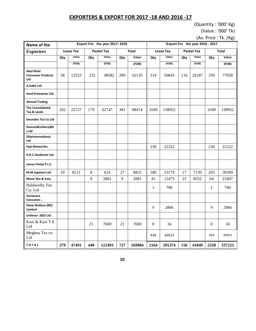#### **EXPORTERS & EXPORT FOR 2017 -18 AND 2016 -17**

(Quantity : '000' Kg) (Value : '000' Tk)

(Av. Price : Tk. /Kg)

| Name of the                                          | Export For the year 2017-2018 |       |                   |        |              |        |                  | Export For the year 2016 - 2017 |                   |       |              |        |  |  |
|------------------------------------------------------|-------------------------------|-------|-------------------|--------|--------------|--------|------------------|---------------------------------|-------------------|-------|--------------|--------|--|--|
| <b>Exporters</b>                                     | Loose Tea                     |       | <b>Packet Tea</b> |        | <b>Total</b> |        | <b>Loose Tea</b> |                                 | <b>Packet Tea</b> |       | <b>Total</b> |        |  |  |
|                                                      | Qty                           | Value | Qty               | Value  | Qty          | Value  | Qty              | Value                           | Qty               | Value | Qty          | Value  |  |  |
|                                                      |                               | (FOB) |                   | (FOB)  |              | (FOB)  |                  | (FOB)                           |                   | (FOB) |              | (FOB)  |  |  |
| <b>Abul Khair</b><br><b>Consumer Products</b><br>Ltd | 58                            | 13553 | 231               | 48582  | 289          | 62135  | 214              | 50843                           | 116               | 26187 | 330          | 77030  |  |  |
| A.Kabir Ltd                                          |                               |       |                   |        |              |        |                  |                                 |                   |       |              |        |  |  |
| Azad Enterprise Ltd.                                 |                               |       |                   |        |              |        |                  |                                 |                   |       |              |        |  |  |
| <b>Ahmad Trading</b>                                 |                               |       |                   |        |              |        |                  |                                 |                   |       |              |        |  |  |
| <b>The Consolidated</b><br>Tea & Lands               | 202                           | 25727 | 179               | 62747  | 381          | 88474  | 1049             | 138952                          |                   |       | 1049         | 138952 |  |  |
| <b>Deundee Tea Co.Ltd</b>                            |                               |       |                   |        |              |        |                  |                                 |                   |       |              |        |  |  |
| DuncanBrothers(BD<br>) Ltd                           |                               |       |                   |        |              |        |                  |                                 |                   |       |              |        |  |  |
| EliteInternational<br>Ltd                            |                               |       |                   |        |              |        |                  |                                 |                   |       |              |        |  |  |
| Haji Ahmed Brs.                                      |                               |       |                   |        |              |        | 230              | 22322                           |                   |       | 230          | 22322  |  |  |
| H.R.C.Syndicate Ltd.                                 |                               |       |                   |        |              |        |                  |                                 |                   |       |              |        |  |  |
| James Finlay P.L.C.                                  |                               |       |                   |        |              |        |                  |                                 |                   |       |              |        |  |  |
| M.M.Ispahani Ltd.                                    | 19                            | 8211  | 8                 | 614    | 27           | 8825   | 186              | 23179                           | 17                | 7130  | 203          | 30309  |  |  |
| Monir Sha & Sons                                     |                               |       | 9                 | 2881   | 9            | 2881   | 41               | 12475                           | 23                | 8532  | 64           | 21007  |  |  |
| Haldavelly Tea<br>Co. Ltd                            |                               |       |                   |        |              |        | $\mathbf{1}$     | 790                             |                   |       | 1            | 790    |  |  |
| Sanowara<br>Consumer                                 |                               |       |                   |        |              |        |                  |                                 |                   |       |              |        |  |  |
| Shaw Wallace (BD)<br>Limited                         |                               |       |                   |        |              |        | 9                | 2866                            |                   |       | 9            | 2866   |  |  |
| Unilever (BD) Ltd.                                   |                               |       |                   |        |              |        |                  |                                 |                   |       |              |        |  |  |
| Kazi & Kazi T.E<br>Ltd                               |                               |       | 21                | 7669   | 21           | 7669   | $\mathbf{0}$     | 34                              |                   |       | $\mathbf{0}$ | 34     |  |  |
| Meghna Tea co.<br>Ltd                                |                               |       |                   |        |              |        | 434              | 43913                           |                   |       | 434          | 43913  |  |  |
| TOTAL                                                | 279                           | 47491 | 448               | 122493 | 727          | 169984 | 2164             | 295374                          | 156               | 41849 | 2320         | 337223 |  |  |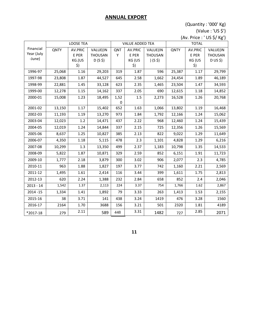#### **ANNUAL EXPORT**

(Quantity : '000' Kg) (Value : 'US \$')

(Av. Price : ' US \$/ Kg')

|             |             | <b>LOOSE TEA</b> |                |                        |         |              | $- - +$ |         |          |  |
|-------------|-------------|------------------|----------------|------------------------|---------|--------------|---------|---------|----------|--|
|             |             |                  |                | <b>VALUE ADDED TEA</b> |         | <b>TOTAL</b> |         |         |          |  |
| Financial   | <b>QNTY</b> | AV.PRIC          | VALUE(IN       | QNT                    | AV.PRIC | VALUE(IN     | QNTY    | AV.PRIC | VALUE(IN |  |
| Year (July  |             | E PER            | <b>THOUSAN</b> | Y                      | E PER   | THOUSAN      |         | E PER   | THOUSAN  |  |
| -June)      |             | KG.(US           | $D(S, \xi)$    |                        | KG (US  | $)(S$ \$)    |         | KG (US  | D US \$) |  |
|             |             | \$)              |                |                        | \$)     |              |         | \$)     |          |  |
| 1996-97     | 25,068      | 1.16             | 29,203         | 319                    | 1.87    | 596          | 25,387  | 1.17    | 29,799   |  |
| 1997-98     | 23,808      | 1.87             | 44,527         | 645                    | 2.58    | 1,662        | 24,454  | 1.89    | 46,189   |  |
| 1998-99     | 22,881      | 1.45             | 33,128         | 623                    | 2.35    | 1,465        | 23,504  | 1.47    | 34,593   |  |
| 1999-00     | 12,278      | 1.15             | 14,162         | 337                    | 2.05    | 690          | 12,615  | 1.18    | 14,852   |  |
| 2000-01     | 15,008      | 1.23             | 18,495         | 1,52                   | 1.5     | 2,273        | 16,528  | 1.26    | 20,768   |  |
|             |             |                  |                | $\boldsymbol{0}$       |         |              |         |         |          |  |
| 2001-02     | 13,150      | 1.17             | 15,402         | 652                    | 1.63    | 1,066        | 13,802  | 1.19    | 16,468   |  |
| 2002-03     | 11,193      | 1.19             | 13,270         | 973                    | 1.84    | 1,792        | 12,166  | 1.24    | 15,062   |  |
| 2003-04     | 12,023      | 1.2              | 14,471         | 437                    | 2.22    | 968          | 12,460  | 1.24    | 15,439   |  |
| 2004-05     | 12,019      | 1.24             | 14,844         | 337                    | 2.15    | 725          | 12,356  | 1.26    | 15,569   |  |
| 2005-06     | 8,637       | 1.25             | 10,827         | 385                    | 2.13    | 822          | 9,022   | 1.29    | 11,649   |  |
| 2006-07     | 4,350       | 1.18             | 5,115          | 478                    | 2.3     | 1,101        | 4,828   | 1.29    | 6,216    |  |
| 2007-08     | 10,299      | 1.3              | 13,350         | 499                    | 2.37    | 1,183        | 10,798  | 1.35    | 14,533   |  |
| 2008-09     | 5,822       | 1.87             | 10,871         | 329                    | 2.59    | 852          | 6,151   | 1.91    | 11,723   |  |
| 2009-10     | 1,777       | 2.18             | 3,879          | 300                    | 3.02    | 906          | 2,077   | 2.3     | 4,785    |  |
| 2010-11     | 963         | 1.88             | 1,827          | 197                    | 3.77    | 742          | 1,160   | 2.21    | 2,569    |  |
| 2011-12     | 1,495       | 1.61             | 2,414          | 116                    | 3.44    | 399          | 1,611   | 1.75    | 2,813    |  |
| 2012-13     | 620         | 2.24             | 1,388          | 232                    | 2.84    | 658          | 852     | 2.4     | 2,046    |  |
| $2013 - 14$ | 1,542       | 1.37             | 2,113          | 224                    | 3.37    | 754          | 1,766   | 1.62    | 2,867    |  |
| $2014 - 15$ | 1,334       | 1.41             | 1,892          | 79                     | 3.33    | 263          | 1,413   | 1.53    | 2,155    |  |
| 2015-16     | 38          | 3.71             | 141            | 438                    | 3.24    | 1419         | 476     | 3.28    | 1560     |  |
| 2016-17     | 2164        | 1.70             | 3688           | 156                    | 3.21    | 501          | 2320    | 1.81    | 4189     |  |
| *2017-18    | 279         | 2.11             | 589            | 448                    | 3.31    | 1482         | 727     | 2.85    | 2071     |  |